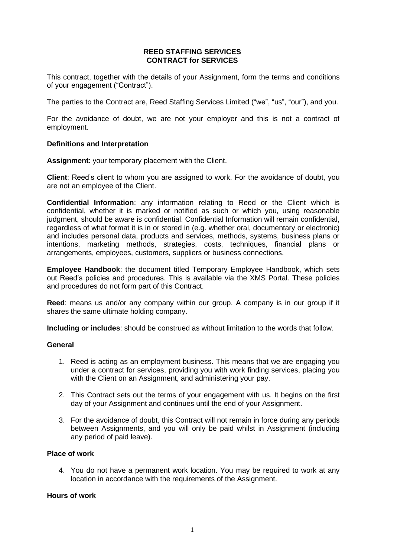### **REED STAFFING SERVICES CONTRACT for SERVICES**

This contract, together with the details of your Assignment, form the terms and conditions of your engagement ("Contract").

The parties to the Contract are, Reed Staffing Services Limited ("we", "us", "our"), and you.

For the avoidance of doubt, we are not your employer and this is not a contract of employment.

### **Definitions and Interpretation**

**Assignment**: your temporary placement with the Client.

**Client**: Reed's client to whom you are assigned to work. For the avoidance of doubt, you are not an employee of the Client.

**Confidential Information**: any information relating to Reed or the Client which is confidential, whether it is marked or notified as such or which you, using reasonable judgment, should be aware is confidential. Confidential Information will remain confidential, regardless of what format it is in or stored in (e.g. whether oral, documentary or electronic) and includes personal data, products and services, methods, systems, business plans or intentions, marketing methods, strategies, costs, techniques, financial plans or arrangements, employees, customers, suppliers or business connections.

**Employee Handbook**: the document titled Temporary Employee Handbook, which sets out Reed's policies and procedures. This is available via the XMS Portal. These policies and procedures do not form part of this Contract.

**Reed**: means us and/or any company within our group. A company is in our group if it shares the same ultimate holding company.

**Including or includes**: should be construed as without limitation to the words that follow.

### **General**

- 1. Reed is acting as an employment business. This means that we are engaging you under a contract for services, providing you with work finding services, placing you with the Client on an Assignment, and administering your pay.
- 2. This Contract sets out the terms of your engagement with us. It begins on the first day of your Assignment and continues until the end of your Assignment.
- 3. For the avoidance of doubt, this Contract will not remain in force during any periods between Assignments, and you will only be paid whilst in Assignment (including any period of paid leave).

### **Place of work**

4. You do not have a permanent work location. You may be required to work at any location in accordance with the requirements of the Assignment.

## **Hours of work**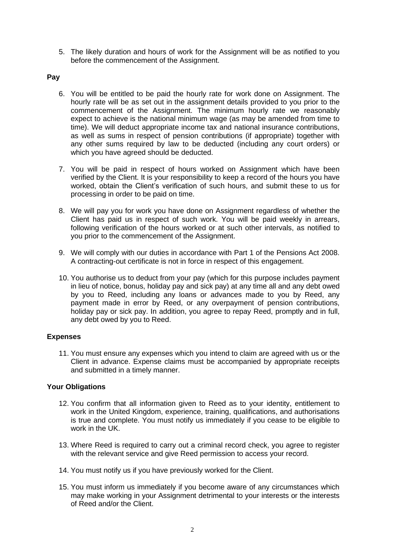5. The likely duration and hours of work for the Assignment will be as notified to you before the commencement of the Assignment.

### **Pay**

- 6. You will be entitled to be paid the hourly rate for work done on Assignment. The hourly rate will be as set out in the assignment details provided to you prior to the commencement of the Assignment. The minimum hourly rate we reasonably expect to achieve is the national minimum wage (as may be amended from time to time). We will deduct appropriate income tax and national insurance contributions, as well as sums in respect of pension contributions (if appropriate) together with any other sums required by law to be deducted (including any court orders) or which you have agreed should be deducted.
- 7. You will be paid in respect of hours worked on Assignment which have been verified by the Client. It is your responsibility to keep a record of the hours you have worked, obtain the Client's verification of such hours, and submit these to us for processing in order to be paid on time.
- 8. We will pay you for work you have done on Assignment regardless of whether the Client has paid us in respect of such work. You will be paid weekly in arrears, following verification of the hours worked or at such other intervals, as notified to you prior to the commencement of the Assignment.
- 9. We will comply with our duties in accordance with Part 1 of the Pensions Act 2008. A contracting-out certificate is not in force in respect of this engagement.
- 10. You authorise us to deduct from your pay (which for this purpose includes payment in lieu of notice, bonus, holiday pay and sick pay) at any time all and any debt owed by you to Reed, including any loans or advances made to you by Reed, any payment made in error by Reed, or any overpayment of pension contributions, holiday pay or sick pay. In addition, you agree to repay Reed, promptly and in full, any debt owed by you to Reed.

## **Expenses**

11. You must ensure any expenses which you intend to claim are agreed with us or the Client in advance. Expense claims must be accompanied by appropriate receipts and submitted in a timely manner.

## **Your Obligations**

- 12. You confirm that all information given to Reed as to your identity, entitlement to work in the United Kingdom, experience, training, qualifications, and authorisations is true and complete. You must notify us immediately if you cease to be eligible to work in the UK.
- 13. Where Reed is required to carry out a criminal record check, you agree to register with the relevant service and give Reed permission to access your record.
- 14. You must notify us if you have previously worked for the Client.
- 15. You must inform us immediately if you become aware of any circumstances which may make working in your Assignment detrimental to your interests or the interests of Reed and/or the Client.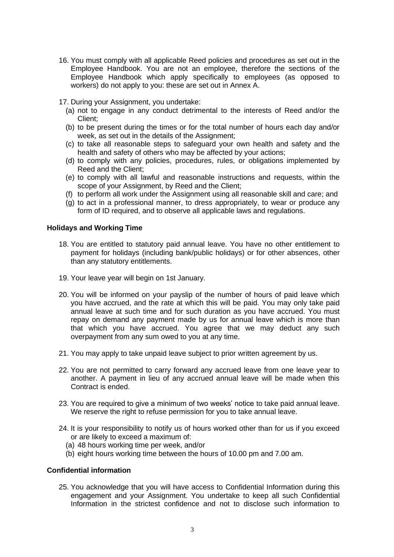16. You must comply with all applicable Reed policies and procedures as set out in the Employee Handbook. You are not an employee, therefore the sections of the Employee Handbook which apply specifically to employees (as opposed to workers) do not apply to you: these are set out in Annex A.

17. During your Assignment, you undertake:

- (a) not to engage in any conduct detrimental to the interests of Reed and/or the Client;
- (b) to be present during the times or for the total number of hours each day and/or week, as set out in the details of the Assignment;
- (c) to take all reasonable steps to safeguard your own health and safety and the health and safety of others who may be affected by your actions;
- (d) to comply with any policies, procedures, rules, or obligations implemented by Reed and the Client;
- (e) to comply with all lawful and reasonable instructions and requests, within the scope of your Assignment, by Reed and the Client;
- (f) to perform all work under the Assignment using all reasonable skill and care; and
- (g) to act in a professional manner, to dress appropriately, to wear or produce any form of ID required, and to observe all applicable laws and regulations.

### **Holidays and Working Time**

- 18. You are entitled to statutory paid annual leave. You have no other entitlement to payment for holidays (including bank/public holidays) or for other absences, other than any statutory entitlements.
- 19. Your leave year will begin on 1st January.
- 20. You will be informed on your payslip of the number of hours of paid leave which you have accrued, and the rate at which this will be paid. You may only take paid annual leave at such time and for such duration as you have accrued. You must repay on demand any payment made by us for annual leave which is more than that which you have accrued. You agree that we may deduct any such overpayment from any sum owed to you at any time.
- 21. You may apply to take unpaid leave subject to prior written agreement by us.
- 22. You are not permitted to carry forward any accrued leave from one leave year to another. A payment in lieu of any accrued annual leave will be made when this Contract is ended.
- 23. You are required to give a minimum of two weeks' notice to take paid annual leave. We reserve the right to refuse permission for you to take annual leave.
- 24. It is your responsibility to notify us of hours worked other than for us if you exceed or are likely to exceed a maximum of:
	- (a) 48 hours working time per week, and/or
	- (b) eight hours working time between the hours of 10.00 pm and 7.00 am.

## **Confidential information**

25. You acknowledge that you will have access to Confidential Information during this engagement and your Assignment. You undertake to keep all such Confidential Information in the strictest confidence and not to disclose such information to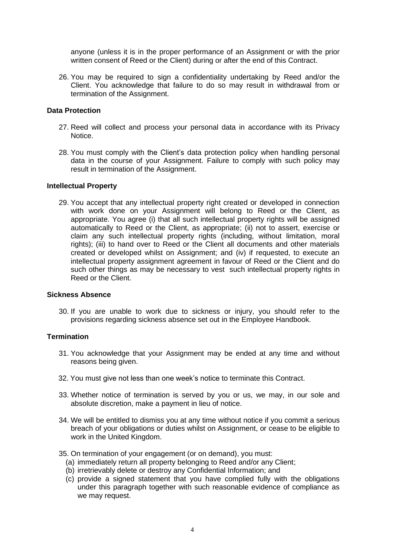anyone (unless it is in the proper performance of an Assignment or with the prior written consent of Reed or the Client) during or after the end of this Contract.

26. You may be required to sign a confidentiality undertaking by Reed and/or the Client. You acknowledge that failure to do so may result in withdrawal from or termination of the Assignment.

### **Data Protection**

- 27. Reed will collect and process your personal data in accordance with its Privacy Notice.
- 28. You must comply with the Client's data protection policy when handling personal data in the course of your Assignment. Failure to comply with such policy may result in termination of the Assignment.

#### **Intellectual Property**

29. You accept that any intellectual property right created or developed in connection with work done on your Assignment will belong to Reed or the Client, as appropriate. You agree (i) that all such intellectual property rights will be assigned automatically to Reed or the Client, as appropriate; (ii) not to assert, exercise or claim any such intellectual property rights (including, without limitation, moral rights); (iii) to hand over to Reed or the Client all documents and other materials created or developed whilst on Assignment; and (iv) if requested, to execute an intellectual property assignment agreement in favour of Reed or the Client and do such other things as may be necessary to vest such intellectual property rights in Reed or the Client.

### **Sickness Absence**

30. If you are unable to work due to sickness or injury, you should refer to the provisions regarding sickness absence set out in the Employee Handbook.

### **Termination**

- 31. You acknowledge that your Assignment may be ended at any time and without reasons being given.
- 32. You must give not less than one week's notice to terminate this Contract.
- 33. Whether notice of termination is served by you or us, we may, in our sole and absolute discretion, make a payment in lieu of notice.
- 34. We will be entitled to dismiss you at any time without notice if you commit a serious breach of your obligations or duties whilst on Assignment, or cease to be eligible to work in the United Kingdom.
- 35. On termination of your engagement (or on demand), you must:
	- (a) immediately return all property belonging to Reed and/or any Client;
	- (b) irretrievably delete or destroy any Confidential Information; and
	- (c) provide a signed statement that you have complied fully with the obligations under this paragraph together with such reasonable evidence of compliance as we may request.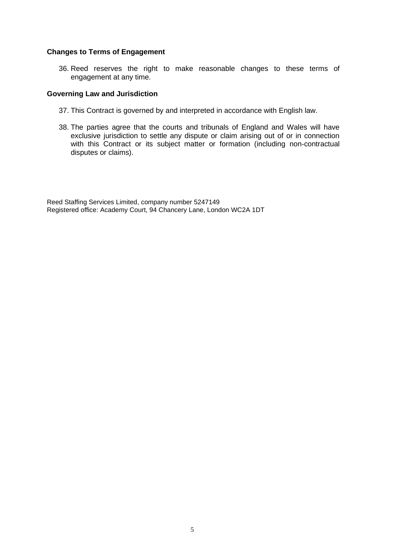#### **Changes to Terms of Engagement**

36. Reed reserves the right to make reasonable changes to these terms of engagement at any time.

### **Governing Law and Jurisdiction**

- 37. This Contract is governed by and interpreted in accordance with English law.
- 38. The parties agree that the courts and tribunals of England and Wales will have exclusive jurisdiction to settle any dispute or claim arising out of or in connection with this Contract or its subject matter or formation (including non-contractual disputes or claims).

Reed Staffing Services Limited, company number 5247149 Registered office: Academy Court, 94 Chancery Lane, London WC2A 1DT